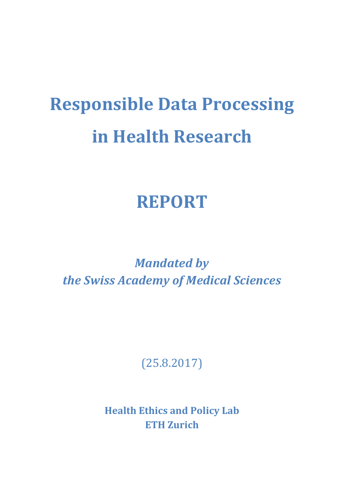# **Responsible Data Processing in Health Research**

### **REPORT**

*Mandated by the Swiss Academy of Medical Sciences*

(25.8.2017)

**Health Ethics and Policy Lab ETH Zurich**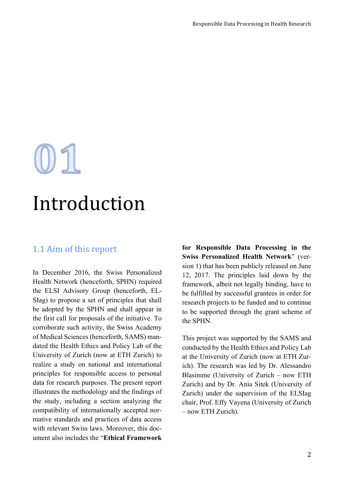# $01$

## Introduction

#### 1.1 Aim of this report

In December 2016, the Swiss Personalized Health Network (henceforth, SPHN) required the ELSI Advisory Group (henceforth, EL-SIag) to propose a set of principles that shall be adopted by the SPHN and shall appear in the first call for proposals of the initiative. To corroborate such activity, the Swiss Academy of Medical Sciences (henceforth, SAMS) mandated the Health Ethics and Policy Lab of the University of Zurich (now at ETH Zurich) to realize a study on national and international principles for responsible access to personal data for research purposes. The present report illustrates the methodology and the findings of the study, including a section analyzing the compatibility of internationally accepted normative standards and practices of data access with relevant Swiss laws. Moreover, this document also includes the "**Ethical Framework** 

**for Responsible Data Processing in the Swiss Personalized Health Network**" (version 1) that has been publicly released on June 12, 2017. The principles laid down by the framework, albeit not legally binding, have to be fulfilled by successful grantees in order for research projects to be funded and to continue to be supported through the grant scheme of the SPHN.

This project was supported by the SAMS and conducted by the Health Ethics and Policy Lab at the University of Zurich (now at ETH Zurich). The research was led by Dr. Alessandro Blasimme (University of Zurich – now ETH Zurich) and by Dr. Ania Sitek (University of Zurich) under the supervision of the ELSIag chair, Prof. Effy Vayena (University of Zurich – now ETH Zurich).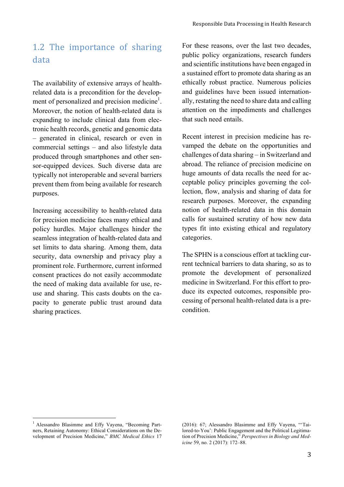#### 1.2 The importance of sharing data

The availability of extensive arrays of healthrelated data is a precondition for the development of personalized and precision medicine<sup>1</sup>. Moreover, the notion of health-related data is expanding to include clinical data from electronic health records, genetic and genomic data – generated in clinical, research or even in commercial settings – and also lifestyle data produced through smartphones and other sensor-equipped devices. Such diverse data are typically not interoperable and several barriers prevent them from being available for research purposes.

Increasing accessibility to health-related data for precision medicine faces many ethical and policy hurdles. Major challenges hinder the seamless integration of health-related data and set limits to data sharing. Among them, data security, data ownership and privacy play a prominent role. Furthermore, current informed consent practices do not easily accommodate the need of making data available for use, reuse and sharing. This casts doubts on the capacity to generate public trust around data sharing practices.

For these reasons, over the last two decades, public policy organizations, research funders and scientific institutions have been engaged in a sustained effort to promote data sharing as an ethically robust practice. Numerous policies and guidelines have been issued internationally, restating the need to share data and calling attention on the impediments and challenges that such need entails.

Recent interest in precision medicine has revamped the debate on the opportunities and challenges of data sharing – in Switzerland and abroad. The reliance of precision medicine on huge amounts of data recalls the need for acceptable policy principles governing the collection, flow, analysis and sharing of data for research purposes. Moreover, the expanding notion of health-related data in this domain calls for sustained scrutiny of how new data types fit into existing ethical and regulatory categories.

The SPHN is a conscious effort at tackling current technical barriers to data sharing, so as to promote the development of personalized medicine in Switzerland. For this effort to produce its expected outcomes, responsible processing of personal health-related data is a precondition.

 

<sup>&</sup>lt;sup>1</sup> Alessandro Blasimme and Effy Vayena, "Becoming Partners, Retaining Autonomy: Ethical Considerations on the Development of Precision Medicine," *BMC Medical Ethics* 17

<sup>(2016): 67;</sup> Alessandro Blasimme and Effy Vayena, "'Tailored-to-You': Public Engagement and the Political Legitimation of Precision Medicine," *Perspectives in Biology and Medicine* 59, no. 2 (2017): 172–88.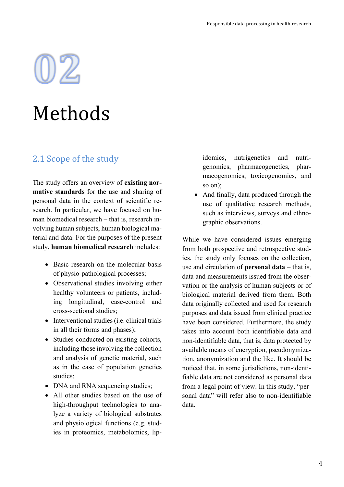# $02$

# Methods

#### 2.1 Scope of the study

The study offers an overview of **existing normative standards** for the use and sharing of personal data in the context of scientific research. In particular, we have focused on human biomedical research – that is, research involving human subjects, human biological material and data. For the purposes of the present study, **human biomedical research** includes:

- Basic research on the molecular basis of physio-pathological processes;
- Observational studies involving either healthy volunteers or patients, including longitudinal, case-control and cross-sectional studies;
- Interventional studies (i.e. clinical trials in all their forms and phases);
- Studies conducted on existing cohorts, including those involving the collection and analysis of genetic material, such as in the case of population genetics studies;
- DNA and RNA sequencing studies;
- All other studies based on the use of high-throughput technologies to analyze a variety of biological substrates and physiological functions (e.g. studies in proteomics, metabolomics, lip-

idomics, nutrigenetics and nutrigenomics, pharmacogenetics, pharmacogenomics, toxicogenomics, and so on);

• And finally, data produced through the use of qualitative research methods, such as interviews, surveys and ethnographic observations.

While we have considered issues emerging from both prospective and retrospective studies, the study only focuses on the collection, use and circulation of **personal data** – that is, data and measurements issued from the observation or the analysis of human subjects or of biological material derived from them. Both data originally collected and used for research purposes and data issued from clinical practice have been considered. Furthermore, the study takes into account both identifiable data and non-identifiable data, that is, data protected by available means of encryption, pseudonymization, anonymization and the like. It should be noticed that, in some jurisdictions, non-identifiable data are not considered as personal data from a legal point of view. In this study, "personal data" will refer also to non-identifiable data.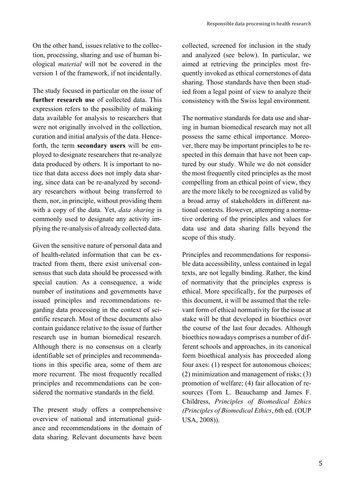On the other hand, issues relative to the collection, processing, sharing and use of human biological *material* will not be covered in the version 1 of the framework, if not incidentally.

The study focused in particular on the issue of **further research use** of collected data. This expression refers to the possibility of making data available for analysis to researchers that were not originally involved in the collection, curation and initial analysis of the data. Henceforth, the term **secondary users** will be employed to designate researchers that re-analyze data produced by others. It is important to notice that data access does not imply data sharing, since data can be re-analyzed by secondary researchers without being transferred to them, nor, in principle, without providing them with a copy of the data. Yet, *data sharing* is commonly used to designate any activity implying the re-analysis of already collected data.

Given the sensitive nature of personal data and of health-related information that can be extracted from them, there exist universal consensus that such data should be processed with special caution. As a consequence, a wide number of institutions and governments have issued principles and recommendations regarding data processing in the context of scientific research. Most of these documents also contain guidance relative to the issue of further research use in human biomedical research. Although there is no consensus on a clearly identifiable set of principles and recommendations in this specific area, some of them are more recurrent. The most frequently recalled principles and recommendations can be considered the normative standards in the field.

The present study offers a comprehensive overview of national and international guidance and recommendations in the domain of data sharing. Relevant documents have been

collected, screened for inclusion in the study and analyzed (see below). In particular, we aimed at retrieving the principles most frequently invoked as ethical cornerstones of data sharing. Those standards have then been studied from a legal point of view to analyze their consistency with the Swiss legal environment.

The normative standards for data use and sharing in human biomedical research may not all possess the same ethical importance. Moreover, there may be important principles to be respected in this domain that have not been captured by our study. While we do not consider the most frequently cited principles as the most compelling from an ethical point of view, they are the more likely to be recognized as valid by a broad array of stakeholders in different national contexts. However, attempting a normative ordering of the principles and values for data use and data sharing falls beyond the scope of this study.

Principles and recommendations for responsible data accessibility, unless contained in legal texts, are not legally binding. Rather, the kind of normativity that the principles express is ethical. More specifically, for the purposes of this document, it will be assumed that the relevant form of ethical normativity for the issue at stake will be that developed in bioethics over the course of the last four decades. Although bioethics nowadays comprises a number of different schools and approaches, in its canonical form bioethical analysis has proceeded along four axes: (1) respect for autonomous choices; (2) minimization and management of risks; (3) promotion of welfare; (4) fair allocation of resources (Tom L. Beauchamp and James F. Childress, *Principles of Biomedical Ethics (Principles of Biomedical Ethics*, 6th ed. (OUP USA, 2008)).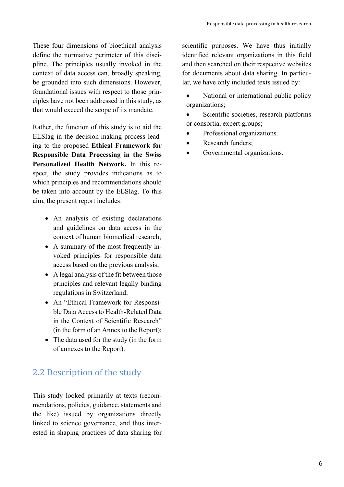These four dimensions of bioethical analysis define the normative perimeter of this discipline. The principles usually invoked in the context of data access can, broadly speaking, be grounded into such dimensions. However, foundational issues with respect to those principles have not been addressed in this study, as that would exceed the scope of its mandate.

Rather, the function of this study is to aid the ELSIag in the decision-making process leading to the proposed **Ethical Framework for Responsible Data Processing in the Swiss Personalized Health Network.** In this respect, the study provides indications as to which principles and recommendations should be taken into account by the ELSIag. To this aim, the present report includes:

- An analysis of existing declarations and guidelines on data access in the context of human biomedical research;
- A summary of the most frequently invoked principles for responsible data access based on the previous analysis;
- A legal analysis of the fit between those principles and relevant legally binding regulations in Switzerland;
- An "Ethical Framework for Responsible Data Access to Health-Related Data in the Context of Scientific Research" (in the form of an Annex to the Report);
- The data used for the study (in the form of annexes to the Report).

#### 2.2 Description of the study

This study looked primarily at texts (recommendations, policies, guidance, statements and the like) issued by organizations directly linked to science governance, and thus interested in shaping practices of data sharing for scientific purposes. We have thus initially identified relevant organizations in this field and then searched on their respective websites for documents about data sharing. In particular, we have only included texts issued by:

National or international public policy organizations;

Scientific societies, research platforms or consortia, expert groups;

- Professional organizations.
- Research funders:
- Governmental organizations.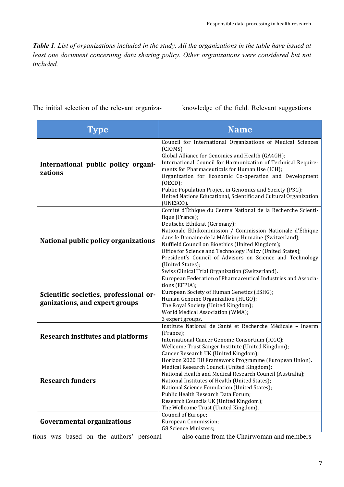*Table 1. List of organizations included in the study. All the organizations in the table have issued at*  least one document concerning data sharing policy. Other organizations were considered but not *included.*

The initial selection of the relevant organiza-

knowledge of the field. Relevant suggestions

| Type                                                                     | <b>Name</b>                                                                                                                                                                                                                                                                                                                                                                                                                                                                                |
|--------------------------------------------------------------------------|--------------------------------------------------------------------------------------------------------------------------------------------------------------------------------------------------------------------------------------------------------------------------------------------------------------------------------------------------------------------------------------------------------------------------------------------------------------------------------------------|
| International public policy organi-<br>zations                           | Council for International Organizations of Medical Sciences<br>(CIOMS)<br>Global Alliance for Genomics and Health (GA4GH);<br>International Council for Harmonization of Technical Require-<br>ments for Pharmaceuticals for Human Use (ICH);<br>Organization for Economic Co-operation and Development<br>(OECD);<br>Public Population Project in Genomics and Society (P3G);<br>United Nations Educational, Scientific and Cultural Organization<br>(UNESCO).                            |
| National public policy organizations                                     | Comité d'Éthique du Centre National de la Recherche Scienti-<br>fique (France);<br>Deutsche Ethikrat (Germany);<br>Nationale Ethikommission / Commission Nationale d'Éthique<br>dans le Domaine de la Médicine Humaine (Switzerland);<br>Nuffield Council on Bioethics (United Kingdom);<br>Office for Science and Technology Policy (United States);<br>President's Council of Advisors on Science and Technology<br>(United States);<br>Swiss Clinical Trial Organization (Switzerland). |
| Scientific societies, professional or-<br>ganizations, and expert groups | European Federation of Pharmaceutical Industries and Associa-<br>tions (EFPIA);<br>European Society of Human Genetics (ESHG);<br>Human Genome Organization (HUGO);<br>The Royal Society (United Kingdom);<br>World Medical Association (WMA);<br>3 expert groups.                                                                                                                                                                                                                          |
| <b>Research institutes and platforms</b>                                 | Institute National de Santé et Recherche Médicale - Inserm<br>(France);<br>International Cancer Genome Consortium (ICGC);<br>Wellcome Trust Sanger Institute (United Kingdom);                                                                                                                                                                                                                                                                                                             |
| <b>Research funders</b>                                                  | Cancer Research UK (United Kingdom);<br>Horizon 2020 EU Framework Programme (European Union).<br>Medical Research Council (United Kingdom);<br>National Health and Medical Research Council (Australia);<br>National Institutes of Health (United States);<br>National Science Foundation (United States);<br>Public Health Research Data Forum;<br>Research Councils UK (United Kingdom);<br>The Wellcome Trust (United Kingdom).<br>Council of Europe;                                   |
| <b>Governmental organizations</b>                                        | European Commission;<br><b>G8 Science Ministers;</b>                                                                                                                                                                                                                                                                                                                                                                                                                                       |

tions was based on the authors' personal

also came from the Chairwoman and members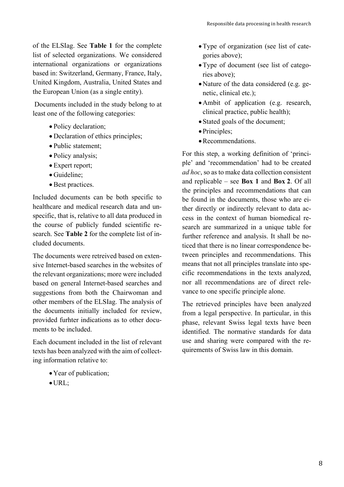of the ELSIag. See **Table 1** for the complete list of selected organizations. We considered international organizations or organizations based in: Switzerland, Germany, France, Italy, United Kingdom, Australia, United States and the European Union (as a single entity).

Documents included in the study belong to at least one of the following categories:

- Policy declaration;
- Declaration of ethics principles:
- Public statement;
- Policy analysis;
- Expert report;
- Guideline;
- Best practices.

Included documents can be both specific to healthcare and medical research data and unspecific, that is, relative to all data produced in the course of publicly funded scientific research. See **Table 2** for the complete list of included documents.

The documents were retreived based on extensive Internet-based searches in the websites of the relevant organizations; more were included based on general Internet-based searches and suggestions from both the Chairwoman and other members of the ELSIag. The analysis of the documents initially included for review, provided furhter indications as to other documents to be included.

Each document included in the list of relevant texts has been analyzed with the aim of collecting information relative to:

- •Year of publication;
- •URL;
- •Type of organization (see list of categories above);
- •Type of document (see list of categories above);
- •Nature of the data considered (e.g. genetic, clinical etc.);
- •Ambit of application (e.g. research, clinical practice, public health);
- Stated goals of the document;
- Principles;
- Recommendations.

For this step, a working definition of 'principle' and 'recommendation' had to be created *ad hoc*, so as to make data collection consistent and replicable – see **Box 1** and **Box 2**. Of all the principles and recommendations that can be found in the documents, those who are either directly or indirectly relevant to data access in the context of human biomedical research are summarized in a unique table for further reference and analysis. It shall be noticed that there is no linear correspondence between principles and recommendations. This means that not all principles translate into specific recommendations in the texts analyzed, nor all recommendations are of direct relevance to one specific principle alone.

The retrieved principles have been analyzed from a legal perspective. In particular, in this phase, relevant Swiss legal texts have been identified. The normative standards for data use and sharing were compared with the requirements of Swiss law in this domain.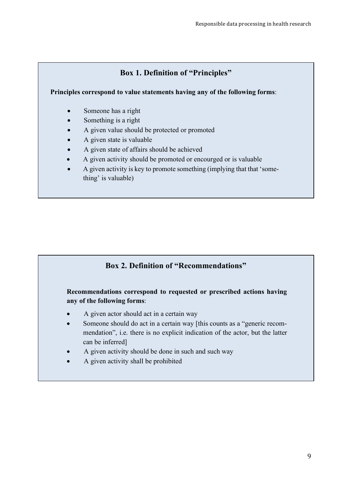#### **Box 1. Definition of "Principles"**

**Principles correspond to value statements having any of the following forms**:

- Someone has a right
- Something is a right
- A given value should be protected or promoted
- A given state is valuable
- A given state of affairs should be achieved
- A given activity should be promoted or encourged or is valuable
- A given activity is key to promote something (implying that that 'something' is valuable)

#### **Box 2. Definition of "Recommendations"**

#### **Recommendations correspond to requested or prescribed actions having any of the following forms**:

- A given actor should act in a certain way
- Someone should do act in a certain way [this counts as a "generic recommendation", i.e. there is no explicit indication of the actor, but the latter can be inferred]
- A given activity should be done in such and such way
- A given activity shall be prohibited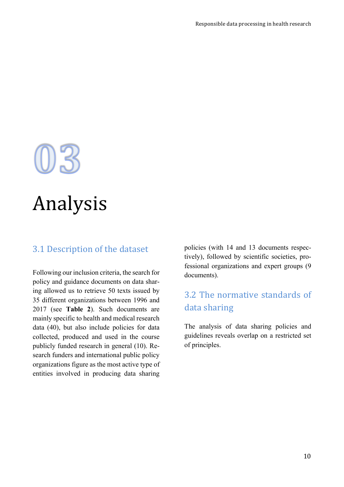# 03<br>Analysis

#### 3.1 Description of the dataset

Following our inclusion criteria, the search for policy and guidance documents on data sharing allowed us to retrieve 50 texts issued by 35 different organizations between 1996 and 2017 (see **Table 2**). Such documents are mainly specific to health and medical research data (40), but also include policies for data collected, produced and used in the course publicly funded research in general (10). Research funders and international public policy organizations figure as the most active type of entities involved in producing data sharing policies (with 14 and 13 documents respectively), followed by scientific societies, professional organizations and expert groups (9 documents).

#### 3.2 The normative standards of data sharing

The analysis of data sharing policies and guidelines reveals overlap on a restricted set of principles.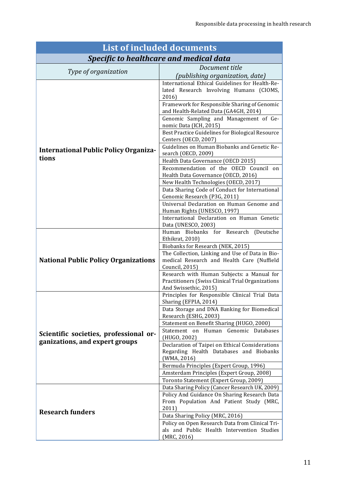| <b>List of included documents</b>                                        |                                                                                                                                                     |  |  |
|--------------------------------------------------------------------------|-----------------------------------------------------------------------------------------------------------------------------------------------------|--|--|
| <b>Specific to healthcare and medical data</b>                           |                                                                                                                                                     |  |  |
|                                                                          | Document title                                                                                                                                      |  |  |
| Type of organization                                                     | <i>(publishing organization, date)</i>                                                                                                              |  |  |
| <b>International Public Policy Organiza-</b>                             | International Ethical Guidelines for Health-Re-<br>lated Research Involving Humans (CIOMS,<br>2016)<br>Framework for Responsible Sharing of Genomic |  |  |
|                                                                          | and Health-Related Data (GA4GH, 2014)<br>Genomic Sampling and Management of Ge-                                                                     |  |  |
|                                                                          | nomic Data (ICH, 2015)<br>Best Practice Guidelines for Biological Resource                                                                          |  |  |
|                                                                          | Centers (OECD, 2007)<br>Guidelines on Human Biobanks and Genetic Re-                                                                                |  |  |
| tions                                                                    | search (OECD, 2009)<br>Health Data Governance (OECD 2015)                                                                                           |  |  |
|                                                                          | Recommendation of the OECD Council on<br>Health Data Governance (OECD, 2016)                                                                        |  |  |
|                                                                          | New Health Technologies (OECD, 2017)<br>Data Sharing Code of Conduct for International                                                              |  |  |
|                                                                          | Genomic Research (P3G, 2011)<br>Universal Declaration on Human Genome and                                                                           |  |  |
|                                                                          | Human Rights (UNESCO, 1997)                                                                                                                         |  |  |
|                                                                          | International Declaration on Human Genetic<br>Data (UNESCO, 2003)                                                                                   |  |  |
|                                                                          | Human Biobanks for Research (Deutsche<br>Ethikrat, 2010)                                                                                            |  |  |
|                                                                          | Biobanks for Research (NEK, 2015)<br>The Collection, Linking and Use of Data in Bio-                                                                |  |  |
| <b>National Public Policy Organizations</b>                              | medical Research and Health Care (Nuffield<br>Council, 2015)                                                                                        |  |  |
|                                                                          | Research with Human Subjects: a Manual for<br>Practitioners (Swiss Clinical Trial Organizations<br>And Swissethic, 2015)                            |  |  |
|                                                                          | Principles for Responsible Clinical Trial Data<br>Sharing (EFPIA, 2014)                                                                             |  |  |
|                                                                          | Data Storage and DNA Banking for Biomedical<br>Research (ESHG, 2003)                                                                                |  |  |
| Scientific societies, professional or-<br>ganizations, and expert groups | Statement on Benefit Sharing (HUGO, 2000)<br>Statement on Human Genomic Databases                                                                   |  |  |
|                                                                          | (HUGO, 2002)                                                                                                                                        |  |  |
|                                                                          | Declaration of Taipei on Ethical Considerations<br>Regarding Health Databases and Biobanks<br>(WMA, 2016)                                           |  |  |
|                                                                          | Bermuda Principles (Expert Group, 1996)                                                                                                             |  |  |
|                                                                          | Amsterdam Principles (Expert Group, 2008)<br>Toronto Statement (Expert Group, 2009)                                                                 |  |  |
|                                                                          | Data Sharing Policy (Cancer Research UK, 2009)                                                                                                      |  |  |
|                                                                          | Policy And Guidance On Sharing Research Data<br>From Population And Patient Study (MRC,<br>2011)                                                    |  |  |
| <b>Research funders</b>                                                  | Data Sharing Policy (MRC, 2016)                                                                                                                     |  |  |
|                                                                          | Policy on Open Research Data from Clinical Tri-<br>als and Public Health Intervention Studies<br>(MRC, 2016)                                        |  |  |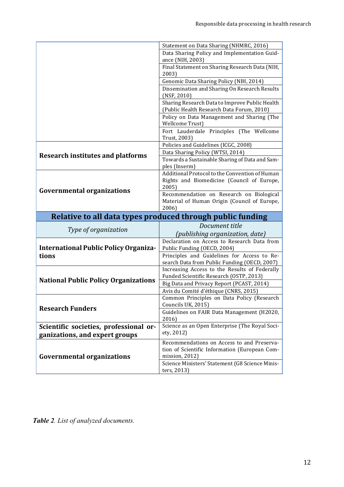|                                              | Statement on Data Sharing (NHMRC, 2016)                                                     |
|----------------------------------------------|---------------------------------------------------------------------------------------------|
|                                              | Data Sharing Policy and Implementation Guid-                                                |
|                                              | ance (NIH, 2003)                                                                            |
|                                              | Final Statement on Sharing Research Data (NIH,<br>2003)                                     |
|                                              | Genomic Data Sharing Policy (NIH, 2014)                                                     |
|                                              | Dissemination and Sharing On Research Results<br>(NSF, 2010)                                |
|                                              | Sharing Research Data to Improve Public Health<br>(Public Health Research Data Forum, 2010) |
|                                              | Policy on Data Management and Sharing (The<br><b>Wellcome Trust)</b>                        |
|                                              | Fort Lauderdale Principles (The Wellcome<br>Trust, 2003)                                    |
|                                              | Policies and Guidelines (ICGC, 2008)                                                        |
| <b>Research institutes and platforms</b>     | Data Sharing Policy (WTSI, 2014)                                                            |
|                                              | Towards a Sustainable Sharing of Data and Sam-<br>ples (Inserm)                             |
|                                              | Additional Protocol to the Convention of Human                                              |
|                                              | Rights and Biomedicine (Council of Europe,                                                  |
| <b>Governmental organizations</b>            | 2005)<br>Recommendation on Research on Biological                                           |
|                                              | Material of Human Origin (Council of Europe,                                                |
|                                              |                                                                                             |
|                                              | 2006)                                                                                       |
|                                              | Relative to all data types produced through public funding                                  |
|                                              | Document title                                                                              |
| Type of organization                         | (publishing organization, date)                                                             |
|                                              | Declaration on Access to Research Data from                                                 |
| <b>International Public Policy Organiza-</b> | Public Funding (OECD, 2004)                                                                 |
| tions                                        | Principles and Guidelines for Access to Re-                                                 |
|                                              | search Data from Public Funding (OECD, 2007)                                                |
|                                              | Increasing Access to the Results of Federally                                               |
| <b>National Public Policy Organizations</b>  | Funded Scientific Research (OSTP, 2013)<br>Big Data and Privacy Report (PCAST, 2014)        |
|                                              | Avis du Comité d'éthique (CNRS, 2015)                                                       |
|                                              | Common Principles on Data Policy (Research                                                  |
| <b>Research Funders</b>                      | Councils UK, 2015)                                                                          |
|                                              | Guidelines on FAIR Data Management (H2020,<br>2016)                                         |
| Scientific societies, professional or-       | Science as an Open Enterprise (The Royal Soci-                                              |
| ganizations, and expert groups               | ety, 2012)                                                                                  |
|                                              | Recommendations on Access to and Preserva-                                                  |
|                                              | tion of Scientific Information (European Com-                                               |
| <b>Governmental organizations</b>            | mission, 2012)<br>Science Ministers' Statement (G8 Science Minis-                           |

*Table 2. List of analyzed documents.*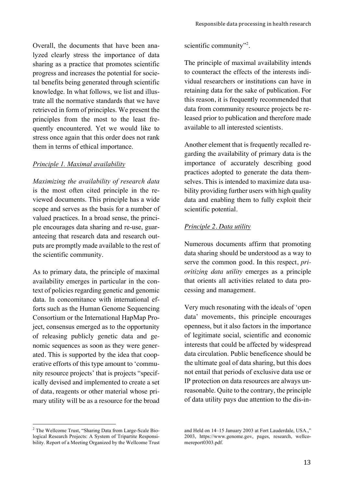Overall, the documents that have been analyzed clearly stress the importance of data sharing as a practice that promotes scientific progress and increases the potential for societal benefits being generated through scientific knowledge. In what follows, we list and illustrate all the normative standards that we have retrieved in form of principles. We present the principles from the most to the least frequently encountered. Yet we would like to stress once again that this order does not rank them in terms of ethical importance.

#### *Principle 1. Maximal availability*

*Maximizing the availability of research data* is the most often cited principle in the reviewed documents. This principle has a wide scope and serves as the basis for a number of valued practices. In a broad sense, the principle encourages data sharing and re-use, guaranteeing that research data and research outputs are promptly made available to the rest of the scientific community.

As to primary data, the principle of maximal availability emerges in particular in the context of policies regarding genetic and genomic data. In concomitance with international efforts such as the Human Genome Sequencing Consortium or the International HapMap Project, consensus emerged as to the opportunity of releasing publicly genetic data and genomic sequences as soon as they were generated. This is supported by the idea that cooperative efforts of this type amount to 'community resource projects' that is projects "specifically devised and implemented to create a set of data, reagents or other material whose primary utility will be as a resource for the broad

scientific community"<sup>2</sup>.

The principle of maximal availability intends to counteract the effects of the interests individual researchers or institutions can have in retaining data for the sake of publication. For this reason, it is frequently recommended that data from community resource projects be released prior to publication and therefore made available to all interested scientists.

Another element that is frequently recalled regarding the availability of primary data is the importance of accurately describing good practices adopted to generate the data themselves. This is intended to maximize data usability providing further users with high quality data and enabling them to fully exploit their scientific potential.

#### *Principle 2. Data utility*

Numerous documents affirm that promoting data sharing should be understood as a way to serve the common good. In this respect, *prioritizing data utility* emerges as a principle that orients all activities related to data processing and management.

Very much resonating with the ideals of 'open data' movements, this principle encourages openness, but it also factors in the importance of legitimate social, scientific and economic interests that could be affected by widespread data circulation. Public beneficence should be the ultimate goal of data sharing, but this does not entail that periods of exclusive data use or IP protection on data resources are always unreasonable. Quite to the contrary, the principle of data utility pays due attention to the dis-in-

 

<sup>2</sup> The Wellcome Trust, "Sharing Data from Large-Scale Biological Research Projects: A System of Tripartite Responsibility. Report of a Meeting Organized by the Wellcome Trust

and Held on 14–15 January 2003 at Fort Lauderdale, USA.," 2003, https://www.genome.gov, pages, research, wellcomereport0303.pdf.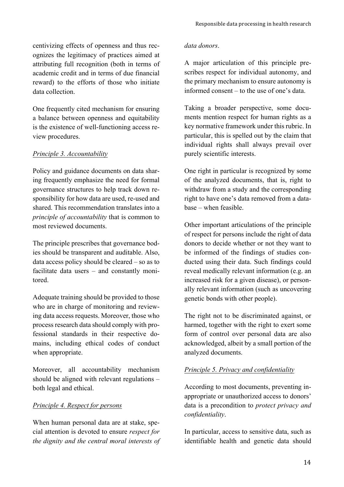centivizing effects of openness and thus recognizes the legitimacy of practices aimed at attributing full recognition (both in terms of academic credit and in terms of due financial reward) to the efforts of those who initiate data collection.

One frequently cited mechanism for ensuring a balance between openness and equitability is the existence of well-functioning access review procedures.

#### *Principle 3. Accountability*

Policy and guidance documents on data sharing frequently emphasize the need for formal governance structures to help track down responsibility for how data are used, re-used and shared. This recommendation translates into a *principle of accountability* that is common to most reviewed documents.

The principle prescribes that governance bodies should be transparent and auditable. Also, data access policy should be cleared – so as to facilitate data users – and constantly monitored.

Adequate training should be provided to those who are in charge of monitoring and reviewing data access requests. Moreover, those who process research data should comply with professional standards in their respective domains, including ethical codes of conduct when appropriate.

Moreover, all accountability mechanism should be aligned with relevant regulations – both legal and ethical.

#### *Principle 4. Respect for persons*

When human personal data are at stake, special attention is devoted to ensure *respect for the dignity and the central moral interests of* 

#### *data donors*.

A major articulation of this principle prescribes respect for individual autonomy, and the primary mechanism to ensure autonomy is informed consent – to the use of one's data.

Taking a broader perspective, some documents mention respect for human rights as a key normative framework under this rubric. In particular, this is spelled out by the claim that individual rights shall always prevail over purely scientific interests.

One right in particular is recognized by some of the analyzed documents, that is, right to withdraw from a study and the corresponding right to have one's data removed from a database – when feasible.

Other important articulations of the principle of respect for persons include the right of data donors to decide whether or not they want to be informed of the findings of studies conducted using their data. Such findings could reveal medically relevant information (e.g. an increased risk for a given disease), or personally relevant information (such as uncovering genetic bonds with other people).

The right not to be discriminated against, or harmed, together with the right to exert some form of control over personal data are also acknowledged, albeit by a small portion of the analyzed documents.

#### *Principle 5. Privacy and confidentiality*

According to most documents, preventing inappropriate or unauthorized access to donors' data is a precondition to *protect privacy and confidentiality*.

In particular, access to sensitive data, such as identifiable health and genetic data should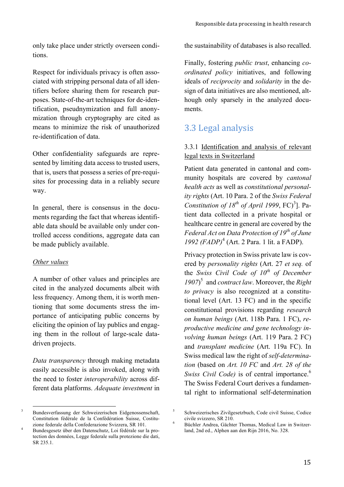only take place under strictly overseen conditions.

Respect for individuals privacy is often associated with stripping personal data of all identifiers before sharing them for research purposes. State-of-the-art techniques for de-identification, pseudnymization and full anonymization through cryptography are cited as means to minimize the risk of unauthorized re-identification of data.

Other confidentiality safeguards are represented by limiting data access to trusted users, that is, users that possess a series of pre-requisites for processing data in a reliably secure way.

In general, there is consensus in the documents regarding the fact that whereas identifiable data should be available only under controlled access conditions, aggregate data can be made publicly available.

#### *Other values*

A number of other values and principles are cited in the analyzed documents albeit with less frequency. Among them, it is worth mentioning that some documents stress the importance of anticipating public concerns by eliciting the opinion of lay publics and engaging them in the rollout of large-scale datadriven projects.

*Data transparency* through making metadata easily accessible is also invoked, along with the need to foster *interoperability* across different data platforms. *Adequate investment* in the sustainability of databases is also recalled.

Finally, fostering *public trust*, enhancing *coordinated policy* initiatives, and following ideals of *reciprocity* and *solidarity* in the design of data initiatives are also mentioned, although only sparsely in the analyzed documents.

#### 3.3 Legal analysis

#### 3.3.1 Identification and analysis of relevant legal texts in Switzerland

Patient data generated in cantonal and community hospitals are covered by *cantonal health acts* as well as *constitutional personality rights* (Art. 10 Para. 2 of the *Swiss Federal Constitution of*  $18^{th}$  *of April 1999*, FC $)^3$ ]. Patient data collected in a private hospital or healthcare centre in general are covered by the *Federal Act on Data Protection of 19th of June 1992 (FADP)*<sup>4</sup> (Art. 2 Para. 1 lit. a FADP).

Privacy protection in Swiss private law is covered by *personality rights* (Art. 27 *et seq.* of the *Swiss Civil Code of 10th of December 1907*) <sup>5</sup> and *contract law*. Moreover, the *Right to privacy* is also recognized at a constitutional level (Art. 13 FC) and in the specific constitutional provisions regarding *research on human beings* (Art. 118b Para. 1 FC), *reproductive medicine and gene technology involving human beings* (Art. 119 Para. 2 FC) and *transplant medicine* (Art. 119a FC). In Swiss medical law the right of *self-determination* (based on *Art. 10 FC* and *Art. 28 of the Swiss Civil Code*) is of central importance.<sup>6</sup> The Swiss Federal Court derives a fundamental right to informational self-determination

 

<sup>3</sup> Bundesverfassung der Schweizerischen Eidgenossenschaft, Constitution fédérale de la Confédération Suisse, Costitu-

zione federale della Confederazione Svizzera, SR 101. <sup>4</sup> Bundesgesetz über den Datenschutz, Loi fédérale sur la protection des données, Legge federale sulla protezione die dati, SR 235.1.

<sup>5</sup> Schweizerisches Zivilgesetzbuch, Code civil Suisse, Codice

civile svizzero, SR 210. <sup>6</sup> Büchler Andrea, Gächter Thomas, Medical Law in Switzerland, 2nd ed., Alphen aan den Rijn 2016, No. 328.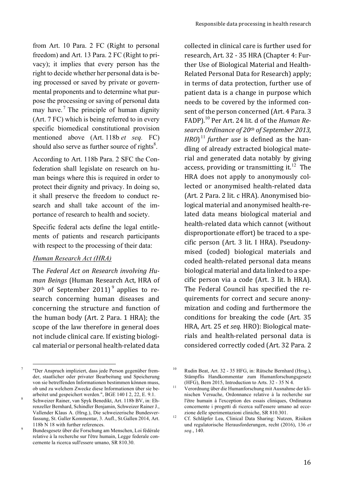from Art. 10 Para. 2 FC (Right to personal freedom) and Art. 13 Para. 2 FC (Right to privacy); it implies that every person has the right to decide whether her personal data is being processed or saved by private or governmental proponents and to determine what purpose the processing or saving of personal data may have.<sup>7</sup> The principle of human dignity (Art. 7 FC) which is being referred to in every specific biomedical constitutional provision mentioned above (Art. 118b *et seq.* FC) should also serve as further source of rights $8$ .

According to Art. 118b Para. 2 SFC the Confederation shall legislate on research on human beings where this is required in order to protect their dignity and privacy. In doing so, it shall preserve the freedom to conduct research and shall take account of the importance of research to health and society.

Specific federal acts define the legal entitlements of patients and research participants with respect to the processing of their data:

#### *Human Research Act (HRA)*

The *Federal Act on Research involving Human Beings* (Human Research Act, HRA of  $30<sup>th</sup>$  of September 2011)<sup>9</sup> applies to research concerning human diseases and concerning the structure and function of the human body (Art. 2 Para.  $1$  HRA); the scope of the law therefore in general does not include clinical care. If existing biological material or personal health-related data

 

collected in clinical care is further used for research, Art. 32 - 35 HRA (Chapter 4: Further Use of Biological Material and Health-Related Personal Data for Research) apply; in terms of data protection, further use of patient data is a change in purpose which needs to be covered by the informed consent of the person concerned (Art. 4 Para. 3 FADP).<sup>10</sup> Per Art. 24 lit. d of the *Human Re*search Ordinance of 20<sup>th</sup> of September 2013, *HRO*)<sup> $11$ </sup> *further use* is defined as the handling of already extracted biological material and generated data notably by giving access, providing or transmitting it.<sup>12</sup> The HRA does not apply to anonymously collected or anonymised health-related data (Art. 2 Para. 2 lit. c HRA). Anonymised biological material and anonymised health-related data means biological material and health-related data which cannot (without disproportionate effort) be traced to a specific person (Art. 3 lit. I HRA). Pseudonymised (coded) biological materials and coded health-related personal data means biological material and data linked to a specific person via a code  $(Art. 3$  lit. h  $HRA$ ). The Federal Council has specified the requirements for correct and secure anonymization and coding and furthermore the conditions for breaking the code (Art. 35) HRA, Art. 25 et seq. HRO): Biological materials and health-related personal data is considered correctly coded (Art. 32 Para. 2

<sup>7</sup> "Der Anspruch impliziert, dass jede Person gegenüber fremder, staatlicher oder privater Bearbeitung und Speicherung von sie betreffenden Informationen bestimmen können muss, ob und zu welchem Zwecke diese Informationen über sie be-

arbeitet und gespeichert werden.", BGE 140 I 2, 22, E. 9.1. <sup>8</sup> Schweizer Rainer, van Spyk Benedikt, Art. 118b BV, in: Ehrenzeller Bernhard, Schindler Benjamin, Schweizer Rainer J., Vallender Klaus A. (Hrsg.), Die schweizerische Bundesverfassung, St. Galler Kommentar, 3. Aufl., St.Gallen 2014, Art.

<sup>118</sup>b N 18 with further references.<br>Bundesgesetz über die Forschung am Menschen, Loi fédérale relative à la recherche sur l'être humain, Legge federale concernente la ricerca sull'essere umano, SR 810.30.

<sup>&</sup>lt;sup>10</sup> Rudin Beat, Art. 32 - 35 HFG, in: Rütsche Bernhard (Hrsg.), Stämpflis Handkommentar zum Humanforschungsgesetz (HFG), Bern 2015, Introduction to Arts. 32 - 35 N 4.<br><sup>11</sup> Verordnung über die Humanforschung mit Ausnahme der kli-

nischen Versuche, Ordonnance relative à la recherche sur l'être humain à l'exception des essais cliniques, Ordinanza concernente i progetti di ricerca sull'essere umano ad ecce-

zione delle sperimentazioni cliniche, SR 810.301. <sup>12</sup> Cf. Schläpfer Lea, Clinical Data Sharing: Nutzen, Risiken und regulatorische Herausforderungen, recht (2016), 136 *et seq.*, 140.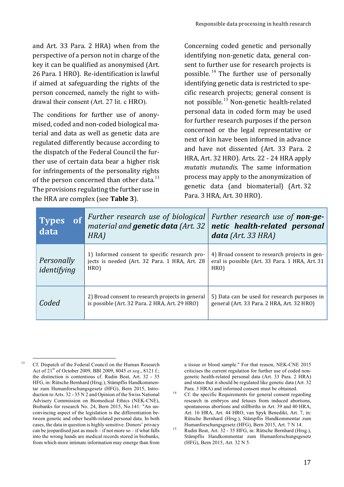and Art. 33 Para. 2 HRA) when from the perspective of a person not in charge of the key it can be qualified as anonymised (Art. 26 Para. 1 HRO). Re-identification is lawful if aimed at safeguarding the rights of the person concerned, namely the right to withdrawal their consent (Art. 27 lit. c HRO).

The conditions for further use of anonymised, coded and non-coded biological material and data as well as genetic data are regulated differently because according to the dispatch of the Federal Council the further use of certain data bear a higher risk for infringements of the personality rights of the person concerned than other data.<sup>13</sup> The provisions regulating the further use in the HRA are complex (see **Table 3**).

Concerning coded genetic and personally identifying non-genetic data, general consent to further use for research projects is possible.<sup>14</sup> The further use of personally identifying genetic data is restricted to specific research projects; general consent is not possible.<sup>15</sup> Non-genetic health-related personal data in coded form may be used for further research purposes if the person concerned or the legal representative or next of kin have been informed in advance and have not dissented (Art. 33 Para. 2 HRA, Art. 32 HRO). Arts. 22 - 24 HRA apply mutatis mutandis. The same information process may apply to the anonymization of genetic data (and biomaterial) (Art. 32 Para. 3 HRA, Art. 30 HRO).

| of<br><b>Types</b><br>data | Further research use of biological<br>material and genetic data (Art. 32<br>HRA)                       | Further research use of <b>non-ge-</b><br>netic health-related personal<br>$data$ (Art. 33 HRA)         |
|----------------------------|--------------------------------------------------------------------------------------------------------|---------------------------------------------------------------------------------------------------------|
| Personally<br>identifying  | 1) Informed consent to specific research pro-<br>jects is needed (Art. 32 Para. 1 HRA, Art. 28<br>HRO) | 4) Broad consent to research projects in gen-<br>eral is possible (Art. 33 Para. 1 HRA, Art. 31<br>HRO) |
| Coded                      | 2) Broad consent to research projects in general<br>is possible (Art. 32 Para. 2 HRA, Art. 29 HRO)     | 5) Data can be used for research purposes in<br>general (Art. 33 Para. 2 HRA, Art. 32 HRO)              |

a tissue or blood sample." For that reason, NEK-CNE 2015 criticises the current regulation for further use of coded nongenetic health-related personal data (Art. 33 Para. 2 HRA) and states that it should be regulated like genetic data (Art. 32

Para. 3 HRA) and informed consent must be obtained.<br><sup>14</sup> Cf. the specific Requirements for general consent regarding research in embryos and fetuses from induced abortions, spontaneous abortions and stillbirths in Art. 39 and 40 HRA, Art. 16 HRA, Art. 44 HRO, van Spyk Benedikt, Art. 7, in: Rütsche Bernhard (Hrsg.), Stämpflis Handkommentar zum Humanforschungsgesetz (HFG), Bern 2015, Art. 7 N 14.<br><sup>15</sup> Rudin Beat, Art. 32 - 35 HFG, in: Rütsche Bernhard (Hrsg.),

Stämpflis Handkommentar zum Humanforschungsgesetz (HFG), Bern 2015, Art. 32 N 5.

 <sup>13</sup> Cf. Dispatch of the Federal Council on the Human Research Act of 21st of October 2009, BBl 2009, 8045 *et seq*., 8121 f.; the distinction is contentious cf. Rudin Beat, Art. 32 - 35 HFG, in: Rütsche Bernhard (Hrsg.), Stämpflis Handkommentar zum Humanforschungsgesetz (HFG), Bern 2015, Introduction to Arts. 32 - 35 N 2 and Opinion of the Swiss National Advisery Commission on Biomedical Ethics (NEK-CNE), Biobanks for research No. 24, Bern 2015, No.141: "An unconvincing aspect of the legislation is the differentiation between genetic and other health-related personal data. In both cases, the data in question is highly sensitive. Donors' privacy can be jeopardised just as much – if not more so – if what falls into the wrong hands are medical records stored in biobanks, from which more intimate information may emerge than from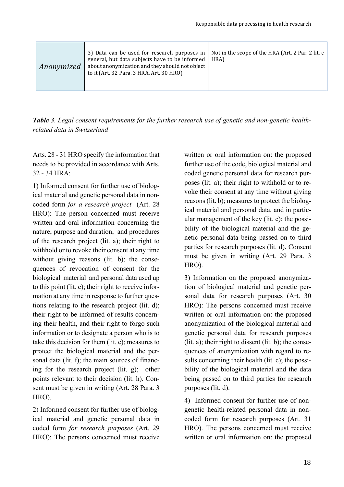| 3) Data can be used for research purposes in   Not in the scope of the HRA (Art. 2 Par. 2 lit. c<br>general, but data subjects have to be informed<br>about anonymization and they should not object<br>Anonymized<br>to it (Art. 32 Para. 3 HRA, Art. 30 HRO) | HRA) |
|----------------------------------------------------------------------------------------------------------------------------------------------------------------------------------------------------------------------------------------------------------------|------|
|----------------------------------------------------------------------------------------------------------------------------------------------------------------------------------------------------------------------------------------------------------------|------|

*Table 3. Legal consent requirements for the further research use of genetic and non-genetic healthrelated data in Switzerland*

Arts. 28 - 31 HRO specify the information that needs to be provided in accordance with Arts. 32 - 34 HRA:

1) Informed consent for further use of biological material and genetic personal data in noncoded form *for a research project* (Art. 28 HRO): The person concerned must receive written and oral information concerning the nature, purpose and duration, and procedures of the research project (lit. a); their right to withhold or to revoke their consent at any time without giving reasons (lit. b); the consequences of revocation of consent for the biological material and personal data used up to this point (lit. c); their right to receive information at any time in response to further questions relating to the research project (lit. d); their right to be informed of results concerning their health, and their right to forgo such information or to designate a person who is to take this decision for them (lit. e); measures to protect the biological material and the personal data (lit. f); the main sources of financing for the research project (lit. g); other points relevant to their decision (lit. h). Consent must be given in writing (Art. 28 Para. 3 HRO).

2) Informed consent for further use of biological material and genetic personal data in coded form *for research purposes* (Art. 29 HRO): The persons concerned must receive

written or oral information on: the proposed further use of the code, biological material and coded genetic personal data for research purposes (lit. a); their right to withhold or to revoke their consent at any time without giving reasons (lit. b); measures to protect the biological material and personal data, and in particular management of the key (lit. c); the possibility of the biological material and the genetic personal data being passed on to third parties for research purposes (lit. d). Consent must be given in writing (Art. 29 Para. 3 HRO).

3) Information on the proposed anonymization of biological material and genetic personal data for research purposes (Art. 30 HRO): The persons concerned must receive written or oral information on: the proposed anonymization of the biological material and genetic personal data for research purposes  $(lit. a)$ ; their right to dissent  $(lit. b)$ ; the consequences of anonymization with regard to results concerning their health (lit. c); the possibility of the biological material and the data being passed on to third parties for research purposes (lit. d).

4) Informed consent for further use of nongenetic health-related personal data in noncoded form for research purposes (Art. 31 HRO). The persons concerned must receive written or oral information on: the proposed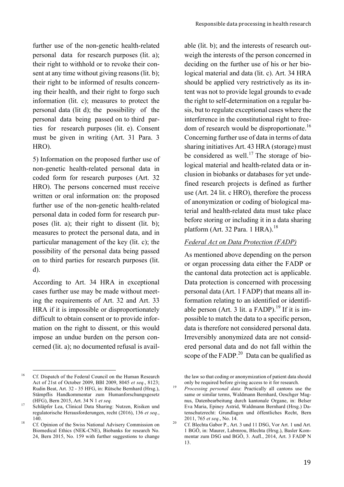further use of the non-genetic health-related personal data for research purposes (lit. a); their right to withhold or to revoke their consent at any time without giving reasons (lit. b); their right to be informed of results concerning their health, and their right to forgo such information (lit. c); measures to protect the personal data (lit d); the possibility of the personal data being passed on to third parties for research purposes (lit. e). Consent must be given in writing (Art. 31 Para. 3 HRO).

5) Information on the proposed further use of non-genetic health-related personal data in coded form for research purposes (Art. 32 HRO). The persons concerned must receive written or oral information on: the proposed further use of the non-genetic health-related personal data in coded form for research purposes (lit. a); their right to dissent (lit. b); measures to protect the personal data, and in particular management of the key (lit. c); the possibility of the personal data being passed on to third parties for research purposes (lit. d).

According to Art. 34 HRA in exceptional cases further use may be made without meeting the requirements of Art. 32 and Art. 33 HRA if it is impossible or disproportionately difficult to obtain consent or to provide information on the right to dissent, or this would impose an undue burden on the person concerned (lit. a); no documented refusal is available (lit. b); and the interests of research outweigh the interests of the person concerned in deciding on the further use of his or her biological material and data (lit. c). Art. 34 HRA should be applied very restrictively as its intent was not to provide legal grounds to evade the right to self-determination on a regular basis, but to regulate exceptional cases where the interference in the constitutional right to freedom of research would be disproportionate.<sup>16</sup> Concerning further use of data in terms of data sharing initiatives Art. 43 HRA (storage) must be considered as well.<sup>17</sup> The storage of biological material and health-related data or inclusion in biobanks or databases for yet undefined research projects is defined as further use (Art. 24 lit. c HRO), therefore the process of anonymization or coding of biological material and health-related data must take place before storing or including it in a data sharing platform (Art. 32 Para. 1 HRA). $^{18}$ 

#### *Federal Act on Data Protection (FADP)*

As mentioned above depending on the person or organ processing data either the FADP or the cantonal data protection act is applicable. Data protection is concerned with processing personal data (Art. 1 FADP) that means all information relating to an identified or identifiable person (Art. 3 lit. a FADP).<sup>19</sup> If it is impossible to match the data to a specific person, data is therefore not considered personal data. Irreversibly anonymized data are not considered personal data and do not fall within the scope of the FADP. $^{20}$  Data can be qualified as

the law so that coding or anonymization of patient data should only be required before giving access to it for research. <sup>19</sup> *Processing personal data*: Practically all cantons use the

 <sup>16</sup> Cf. Dispatch of the Federal Council on the Human Research Act of 21st of October 2009, BBl 2009, 8045 *et seq*., 8123; Rudin Beat, Art. 32 - 35 HFG, in: Rütsche Bernhard (Hrsg.), Stämpflis Handkommentar zum Humanforschungsgesetz

<sup>(</sup>HFG), Bern 2015, Art. 34 N 1 *et seq.* <sup>17</sup> Schläpfer Lea, Clinical Data Sharing: Nutzen, Risiken und regulatorische Herausforderungen, recht (2016), 136 *et seq.*,

<sup>140.&</sup>lt;br><sup>18</sup> Cf. Opinion of the Swiss National Advisery Commission on Biomedical Ethics (NEK-CNE), Biobanks for research No. 24, Bern 2015, No. 159 with further suggestions to change

same or similar terms, Waldmann Bernhard, Oeschger Magnus, Datenbearbeitung durch kantonale Organe, in: Belser Eva Maria, Epiney Astrid, Waldmann Bernhard (Hrsg.) Datenschutzrecht: Grundlagen und öffentliches Recht, Bern

<sup>2011, 765</sup> *et seq*., No. 14. <sup>20</sup> Cf. Blechta Gabor P., Art. 3 und 11 DSG, Vor Art. 1 und Art. 1 BGÖ, in: Maurer, Labmrou, Blechta (Hrsg.), Basler Kommentar zum DSG und BGÖ, 3. Aufl., 2014, Art. 3 FADP N 13.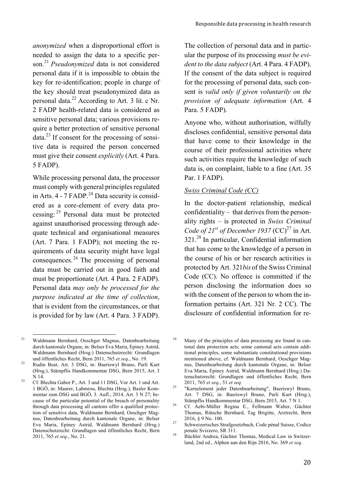*anonymized* when a disproportional effort is needed to assign the data to a specific person.<sup>21</sup> *Pseudonymized* data is not considered personal data if it is impossible to obtain the key for re-identification; people in charge of the key should treat pseudonymized data as personal data.<sup>22</sup> According to Art. 3 lit. c Nr. 2 FADP health-related data is considered as sensitive personal data; various provisions require a better protection of sensitive personal  $data<sup>23</sup>$  If consent for the processing of sensitive data is required the person concerned must give their consent *explicitly* (Art. 4 Para. 5 FADP).

While processing personal data, the processor must comply with general principles regulated in Arts.  $4 - 7$  FADP.<sup>24</sup> Data security is considered as a core-element of every data processing: <sup>25</sup> Personal data must be protected against unauthorised processing through adequate technical and organisational measures (Art. 7 Para. 1 FADP); not meeting the requirements of data security might have legal consequences. <sup>26</sup> The processing of personal data must be carried out in good faith and must be proportionate (Art. 4 Para. 2 FADP). Personal data *may only be processed for the purpose indicated at the time of collection*, that is evident from the circumstances, or that is provided for by law (Art. 4 Para. 3 FADP).

The collection of personal data and in particular the purpose of its processing *must be evident to the data subject* (Art. 4 Para. 4 FADP). If the consent of the data subject is required for the processing of personal data, such consent is *valid only if given voluntarily on the provision of adequate information* (Art. 4 Para. 5 FADP).

Anyone who, without authorisation, wilfully discloses confidential, sensitive personal data that have come to their knowledge in the course of their professional activities where such activities require the knowledge of such data is, on complaint, liable to a fine (Art. 35 Par. 1 FADP).

#### *Swiss Criminal Code (CC)*

In the doctor-patient relationship, medical confidentiality – that derives from the personality rights – is protected in *Swiss Criminal Code of 21<sup>st</sup> of December 1937* (CC)<sup>27</sup> in Art. 321.<sup>28</sup> In particular, Confidential information that has come to the knowledge of a person in the course of his or her research activities is protected by Art. 321*bis* of the Swiss Criminal Code (CC). No offence is committed if the person disclosing the information does so with the consent of the person to whom the information pertains (Art. 321 Nr. 2 CC). The disclosure of confidential information for re-

 <sup>21</sup> Waldmann Bernhard, Oeschger Magnus, Datenbearbeitung durch kantonale Organe, in: Belser Eva Maria, Epiney Astrid, Waldmann Bernhard (Hrsg.) Datenschutzrecht: Grundlagen und öffentliches Recht, Bern 2011, 765 *et seq*., No. 19. <sup>22</sup> Rudin Beat, Art. 3 DSG, in: Baeriswyl Bruno, Parli Kurt

<sup>(</sup>Hrsg.), Stämpflis Handkommentar DSG, Bern 2015, Art. 3 N 14.<br>23 Cf. Blechta Gabor P., Art. 3 und 11 DSG, Vor Art. 1 und Art.

<sup>1</sup> BGÖ, in: Maurer, Labmrou, Blechta (Hrsg.), Basler Kommentar zum DSG und BGÖ, 3. Aufl., 2014, Art. 3 N 27; because of the particular potential of the breach of personality through data processing all cantons offer a qualified protection of sensitive data, Waldmann Bernhard, Oeschger Magnus, Datenbearbeitung durch kantonale Organe, in: Belser Eva Maria, Epiney Astrid, Waldmann Bernhard (Hrsg.) Datenschutzrecht: Grundlagen und öffentliches Recht, Bern 2011, 765 *et seq*., No. 21.

 $24$  Many of the principles of data processing are found in cantonal data protection acts; some cantonal acts contain additional principles, some substantiate constitutional provisions mentioned above, cf. Waldmann Bernhard, Oeschger Magnus, Datenbearbeitung durch kantonale Organe, in: Belser Eva Maria, Epiney Astrid, Waldmann Bernhard (Hrsg.) Datenschutzrecht: Grundlagen und öffentliches Recht, Bern 2011, 765 *et seq*., 51 *et seq.* <sup>25</sup> "Kernelement jeder Datenbearbeitung", Baeriswyl Bruno,

Art. 7 DSG, in: Baeriswyl Bruno, Parli Kurt (Hrsg.),

Stämpflis Handkommentar DSG, Bern 2015, Art. 7 N 1. <sup>26</sup> Cf. Aebi-Müller Regina E., Fellmann Walter, Gächter Thomas, Rütsche Bernhard, Tag Brigitte, Arztrecht, Bern

<sup>2016, § 9</sup> No. 100.<br><sup>27</sup> Schweizerisches Strafgesetzbuch, Code pénal Suisse, Codice

penale Svizzero, SR 311. <sup>28</sup> Büchler Andrea, Gächter Thomas, Medical Law in Switzerland, 2nd ed., Alphen aan den Rijn 2016, No. 369 *et seq.*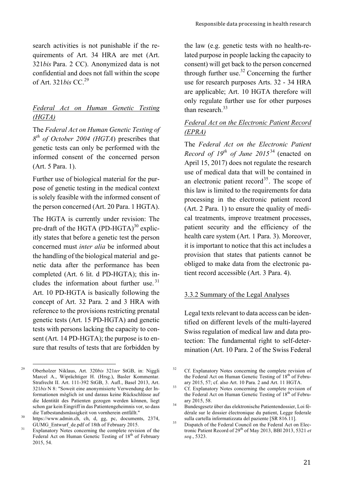search activities is not punishable if the requirements of Art. 34 HRA are met (Art. 321*bis* Para. 2 CC). Anonymized data is not confidential and does not fall within the scope of Art. 321*bis* CC.<sup>29</sup>

#### *Federal Act on Human Genetic Testing (HGTA)*

The *Federal Act on Human Genetic Testing of 8th of October 2004 (HGTA*) prescribes that genetic tests can only be performed with the informed consent of the concerned person (Art. 5 Para. 1).

Further use of biological material for the purpose of genetic testing in the medical context is solely feasible with the informed consent of the person concerned (Art. 20 Para. 1 HGTA).

The HGTA is currently under revision: The pre-draft of the HGTA  $(PD-HGTA)^{30}$  explicitly states that before a genetic test the person concerned must *inter alia* be informed about the handling of the biological material and genetic data after the performance has been completed (Art. 6 lit. d PD-HGTA); this includes the information about further use.<sup>31</sup> Art. 10 PD-HGTA is basically following the concept of Art. 32 Para. 2 and 3 HRA with reference to the provisions restricting prenatal genetic tests (Art. 15 PD-HGTA) and genetic tests with persons lacking the capacity to consent (Art. 14 PD-HGTA); the purpose is to ensure that results of tests that are forbidden by the law (e.g. genetic tests with no health-related purpose in people lacking the capacity to consent) will get back to the person concerned through further use.<sup>32</sup> Concerning the further use for research purposes Arts. 32 - 34 HRA are applicable; Art. 10 HGTA therefore will only regulate further use for other purposes than research. $33$ 

#### *Federal Act on the Electronic Patient Record (EPRA)*

The *Federal Act on the Electronic Patient Record of 19th of June 2015*<sup>34</sup> (enacted on April 15, 2017) does not regulate the research use of medical data that will be contained in an electronic patient record<sup>35</sup>. The scope of this law is limited to the requirements for data processing in the electronic patient record (Art. 2 Para. 1) to ensure the quality of medical treatments, improve treatment processes, patient security and the efficiency of the health care system (Art. 1 Para. 3). Moreover, it is important to notice that this act includes a provision that states that patients cannot be obliged to make data from the electronic patient record accessible (Art. 3 Para. 4).

#### 3.3.2 Summary of the Legal Analyses

Legal texts relevant to data access can be identified on different levels of the multi-layered Swiss regulation of medical law and data protection: The fundamental right to self-determination (Art. 10 Para. 2 of the Swiss Federal

 <sup>29</sup> Oberholzer Niklaus, Art. 320*bis* 321*ter* StGB, in: Niggli Marcel A., Wiprächtiger H. (Hrsg.), Basler Kommentar. Strafrecht II. Art. 111-392 StGB, 3. Aufl., Basel 2013, Art. 321*bis* N 8: "Soweit eine anonymisierte Verwendung der Informationen möglich ist und daraus keine Rückschlüsse auf die Identität des Patienten gezogen werden können, liegt schon gar kein Eingriff in das Patientengeheimnis vor, so dass die Tatbestandsmässigkeit von vornherein entfällt." <sup>30</sup> https://www.admin.ch, ch, d, gg, pc, documents, 2374,

GUMG\_Entwurf\_de.pdf of 18th of February 2015. <sup>31</sup> Explanatory Notes concerning the complete revision of the

Federal Act on Human Genetic Testing of 18<sup>th</sup> of February 2015, 54.

<sup>&</sup>lt;sup>32</sup> Cf. Explanatory Notes concerning the complete revision of the Federal Act on Human Genetic Testing of 18<sup>th</sup> of Febru-

ary 2015, 57; cf. also Art. 10 Para. 2 and Art. 11 HGTA.<br>33 Cf. Explanatory Notes concerning the complete revision of the Federal Act on Human Genetic Testing of  $18<sup>th</sup>$  of Febru-

ary 2015, 58. <sup>34</sup> Bundesgesetz über das elektronische Patientendossier, Loi fédérale sur le dossier électronique du patient. Legge federale

sulla cartella informatizzata del paziente [SR 816.11].<br><sup>35</sup> Dispatch of the Federal Council on the Federal Act on Electronic Patient Record of 29th of May 2013, BBl 2013, 5321 *et seq*., 5323.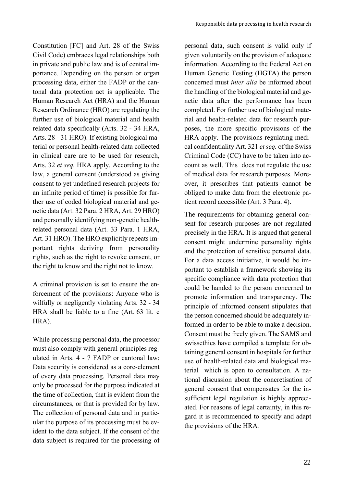Constitution [FC] and Art. 28 of the Swiss Civil Code) embraces legal relationships both in private and public law and is of central importance. Depending on the person or organ processing data, either the FADP or the cantonal data protection act is applicable. The Human Research Act (HRA) and the Human Research Ordinance (HRO) are regulating the further use of biological material and health related data specifically (Arts. 32 - 34 HRA, Arts. 28 - 31 HRO). If existing biological material or personal health-related data collected in clinical care are to be used for research, Arts. 32 *et seq.* HRA apply. According to the law, a general consent (understood as giving consent to yet undefined research projects for an infinite period of time) is possible for further use of coded biological material and genetic data (Art. 32 Para. 2 HRA, Art. 29 HRO) and personally identifying non-genetic healthrelated personal data (Art. 33 Para. 1 HRA, Art. 31 HRO). The HRO explicitly repeats important rights deriving from personality rights, such as the right to revoke consent, or the right to know and the right not to know.

A criminal provision is set to ensure the enforcement of the provisions: Anyone who is wilfully or negligently violating Arts. 32 - 34 HRA shall be liable to a fine (Art. 63 lit. c HRA).

While processing personal data, the processor must also comply with general principles regulated in Arts. 4 - 7 FADP or cantonal law: Data security is considered as a core-element of every data processing. Personal data may only be processed for the purpose indicated at the time of collection, that is evident from the circumstances, or that is provided for by law. The collection of personal data and in particular the purpose of its processing must be evident to the data subject. If the consent of the data subject is required for the processing of

personal data, such consent is valid only if given voluntarily on the provision of adequate information. According to the Federal Act on Human Genetic Testing (HGTA) the person concerned must *inter alia* be informed about the handling of the biological material and genetic data after the performance has been completed. For further use of biological material and health-related data for research purposes, the more specific provisions of the HRA apply. The provisions regulating medical confidentiality Art. 321 *et seq.* of the Swiss Criminal Code (CC) have to be taken into account as well. This does not regulate the use of medical data for research purposes. Moreover, it prescribes that patients cannot be obliged to make data from the electronic patient record accessible (Art. 3 Para. 4).

The requirements for obtaining general consent for research purposes are not regulated precisely in the HRA. It is argued that general consent might undermine personality rights and the protection of sensitive personal data. For a data access initiative, it would be important to establish a framework showing its specific compliance with data protection that could be handed to the person concerned to promote information and transparency. The principle of informed consent stipulates that the person concerned should be adequately informed in order to be able to make a decision. Consent must be freely given. The SAMS and swissethics have compiled a template for obtaining general consent in hospitals for further use of health-related data and biological material which is open to consultation. A national discussion about the concretisation of general consent that compensates for the insufficient legal regulation is highly appreciated. For reasons of legal certainty, in this regard it is recommended to specify and adapt the provisions of the HRA.